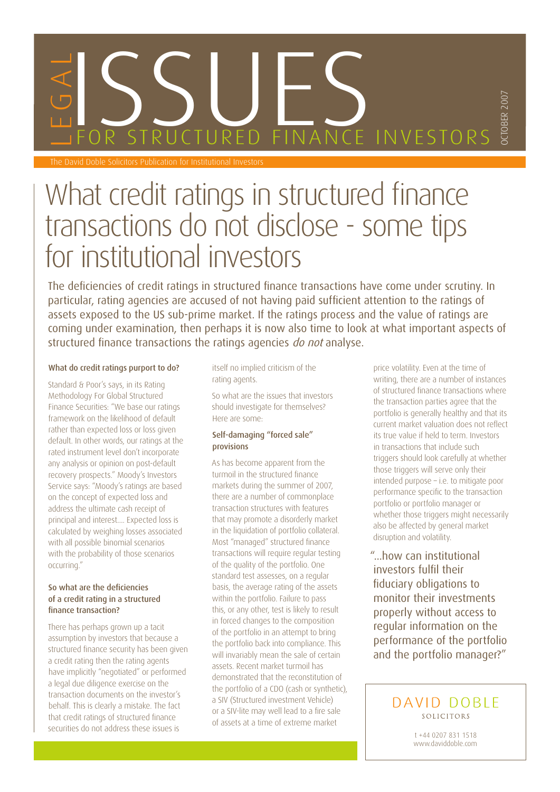# SSENCTURED FINANCE The David Doble Solicitors Publication for Institutional Investors FOR STRUCTURED FINANCE INVESTORS

## What credit ratings in structured finance transactions do not disclose - some tips for institutional investors

The deficiencies of credit ratings in structured finance transactions have come under scrutiny. In particular, rating agencies are accused of not having paid sufficient attention to the ratings of assets exposed to the US sub-prime market. If the ratings process and the value of ratings are coming under examination, then perhaps it is now also time to look at what important aspects of structured finance transactions the ratings agencies do not analyse.

#### What do credit ratings purport to do?

Standard & Poor's says, in its Rating Methodology For Global Structured Finance Securities: "We base our ratings framework on the likelihood of default rather than expected loss or loss given default. In other words, our ratings at the rated instrument level don't incorporate any analysis or opinion on post-default recovery prospects." Moody's Investors Service says: "Moody's ratings are based on the concept of expected loss and address the ultimate cash receipt of principal and interest.... Expected loss is calculated by weighing losses associated with all possible binomial scenarios with the probability of those scenarios occurring."

#### So what are the deficiencies of a credit rating in a structured finance transaction?

There has perhaps grown up a tacit assumption by investors that because a structured finance security has been given a credit rating then the rating agents have implicitly "negotiated" or performed a legal due diligence exercise on the transaction documents on the investor's behalf. This is clearly a mistake. The fact that credit ratings of structured finance securities do not address these issues is

itself no implied criticism of the rating agents.

So what are the issues that investors should investigate for themselves? Here are some:

#### Self-damaging "forced sale" provisions

As has become apparent from the turmoil in the structured finance markets during the summer of 2007, there are a number of commonplace transaction structures with features that may promote a disorderly market in the liquidation of portfolio collateral. Most "managed" structured finance transactions will require regular testing of the quality of the portfolio. One standard test assesses, on a regular basis, the average rating of the assets within the portfolio. Failure to pass this, or any other, test is likely to result in forced changes to the composition of the portfolio in an attempt to bring the portfolio back into compliance. This will invariably mean the sale of certain assets. Recent market turmoil has demonstrated that the reconstitution of the portfolio of a CDO (cash or synthetic), a SIV (Structured investment Vehicle) or a SIV-lite may well lead to a fire sale of assets at a time of extreme market

price volatility. Even at the time of writing, there are a number of instances of structured finance transactions where the transaction parties agree that the portfolio is generally healthy and that its current market valuation does not reflect its true value if held to term. Investors in transactions that include such triggers should look carefully at whether those triggers will serve only their intended purpose – i.e. to mitigate poor performance specific to the transaction portfolio or portfolio manager or whether those triggers might necessarily also be affected by general market disruption and volatility.

OCTOBER 2007

CTOBER 2007

"...how can institutional investors fulfil their fiduciary obligations to monitor their investments properly without access to regular information on the performance of the portfolio and the portfolio manager?"

> DAVID DOBLE SOLICITORS

> > t +44 0207 831 1518 www.daviddoble.com